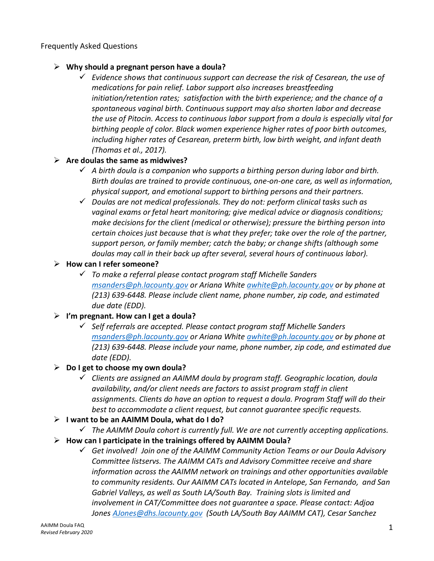## Frequently Asked Questions

## ➢ **Why should a pregnant person have a doula?**

✓ *Evidence shows that continuous support can decrease the risk of Cesarean, the use of medications for pain relief. Labor support also increases breastfeeding initiation/retention rates; satisfaction with the birth experience; and the chance of a spontaneous vaginal birth. Continuous support may also shorten labor and decrease the use of Pitocin. Access to continuous labor support from a doula is especially vital for birthing people of color. Black women experience higher rates of poor birth outcomes, including higher rates of Cesarean, preterm birth, low birth weight, and infant death (Thomas et al., 2017).*

## ➢ **Are doulas the same as midwives?**

- ✓ *A birth doula is a companion who supports a birthing person during labor and birth. Birth doulas are trained to provide continuous, one-on-one care, as well as information, physical support, and emotional support to birthing persons and their partners.*
- ✓ *Doulas are not medical professionals. They do not: perform clinical tasks such as vaginal exams or fetal heart monitoring; give medical advice or diagnosis conditions; make decisions for the client (medical or otherwise); pressure the birthing person into certain choices just because that is what they prefer; take over the role of the partner, support person, or family member; catch the baby; or change shifts (although some doulas may call in their back up after several, several hours of continuous labor).*
- ➢ **How can I refer someone?**
	- ✓ *To make a referral please contact program staff Michelle Sanders [msanders@ph.lacounty.gov](mailto:msanders@ph.lacounty.gov) or Ariana White [awhite@ph.lacounty.gov](mailto:awhite@ph.lacounty.gov) or by phone at (213) 639-6448. Please include client name, phone number, zip code, and estimated due date (EDD).*
- ➢ **I'm pregnant. How can I get a doula?**
	- ✓ *Self referrals are accepted. Please contact program staff Michelle Sanders [msanders@ph.lacounty.gov](mailto:msanders@ph.lacounty.gov) or Ariana White [awhite@ph.lacounty.gov](mailto:awhite@ph.lacounty.gov) or by phone at (213) 639-6448. Please include your name, phone number, zip code, and estimated due date (EDD).*
- ➢ **Do I get to choose my own doula?**
	- ✓ *Clients are assigned an AAIMM doula by program staff. Geographic location, doula availability, and/or client needs are factors to assist program staff in client assignments. Clients do have an option to request a doula. Program Staff will do their best to accommodate a client request, but cannot guarantee specific requests.*
- ➢ **I want to be an AAIMM Doula, what do I do?**
	- ✓ *The AAIMM Doula cohort is currently full. We are not currently accepting applications.*
- ➢ **How can I participate in the trainings offered by AAIMM Doula?**
	- ✓ *Get involved! Join one of the AAIMM Community Action Teams or our Doula Advisory Committee listservs. The AAIMM CATs and Advisory Committee receive and share information across the AAIMM network on trainings and other opportunities available to community residents. Our AAIMM CATs located in Antelope, San Fernando, and San Gabriel Valleys, as well as South LA/South Bay. Training slots is limited and involvement in CAT/Committee does not guarantee a space. Please contact: Adjoa Jones [AJones@dhs.lacounty.gov](mailto:AJones@dhs.lacounty.gov) (South LA/South Bay AAIMM CAT), Cesar Sanchez*